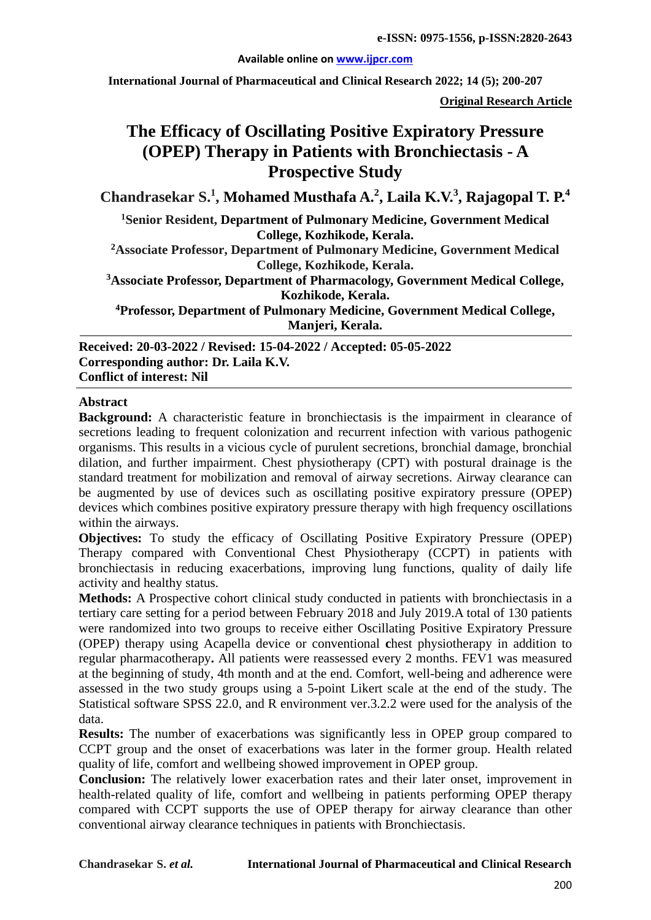#### **Available online on [www.ijpcr.com](http://www.ijpcr.com/)**

**International Journal of Pharmaceutical and Clinical Research 2022; 14 (5); 200-207**

**Original Research Article**

# **The Efficacy of Oscillating Positive Expiratory Pressure (OPEP) Therapy in Patients with Bronchiectasis - A Prospective Study**

**Chandrasekar S. 1 , Mohamed Musthafa A. 2 , Laila K.V.3 , Rajagopal T. P.4**

**1 Senior Resident, Department of Pulmonary Medicine, Government Medical College, Kozhikode, Kerala.**

**2Associate Professor, Department of Pulmonary Medicine, Government Medical College, Kozhikode, Kerala.**

**3 Associate Professor, Department of Pharmacology, Government Medical College, Kozhikode, Kerala.**

**4 Professor, Department of Pulmonary Medicine, Government Medical College, Manjeri, Kerala.**

**Received: 20-03-2022 / Revised: 15-04-2022 / Accepted: 05-05-2022 Corresponding author: Dr. Laila K.V. Conflict of interest: Nil**

#### **Abstract**

**Background:** A characteristic feature in bronchiectasis is the impairment in clearance of secretions leading to frequent colonization and recurrent infection with various pathogenic organisms. This results in a vicious cycle of purulent secretions, bronchial damage, bronchial dilation, and further impairment. Chest physiotherapy (CPT) with postural drainage is the standard treatment for mobilization and removal of airway secretions. Airway clearance can be augmented by use of devices such as oscillating positive expiratory pressure (OPEP) devices which combines positive expiratory pressure therapy with high frequency oscillations within the airways.

**Objectives:** To study the efficacy of Oscillating Positive Expiratory Pressure (OPEP) Therapy compared with Conventional Chest Physiotherapy (CCPT) in patients with bronchiectasis in reducing exacerbations, improving lung functions, quality of daily life activity and healthy status.

**Methods:** A Prospective cohort clinical study conducted in patients with bronchiectasis in a tertiary care setting for a period between February 2018 and July 2019.A total of 130 patients were randomized into two groups to receive either Oscillating Positive Expiratory Pressure (OPEP) therapy using Acapella device or conventional **c**hest physiotherapy in addition to regular pharmacotherapy**.** All patients were reassessed every 2 months. FEV1 was measured at the beginning of study, 4th month and at the end. Comfort, well-being and adherence were assessed in the two study groups using a 5-point Likert scale at the end of the study. The Statistical software SPSS 22.0, and R environment ver.3.2.2 were used for the analysis of the data.

**Results:** The number of exacerbations was significantly less in OPEP group compared to CCPT group and the onset of exacerbations was later in the former group. Health related quality of life, comfort and wellbeing showed improvement in OPEP group.

**Conclusion:** The relatively lower exacerbation rates and their later onset, improvement in health-related quality of life, comfort and wellbeing in patients performing OPEP therapy compared with CCPT supports the use of OPEP therapy for airway clearance than other conventional airway clearance techniques in patients with Bronchiectasis.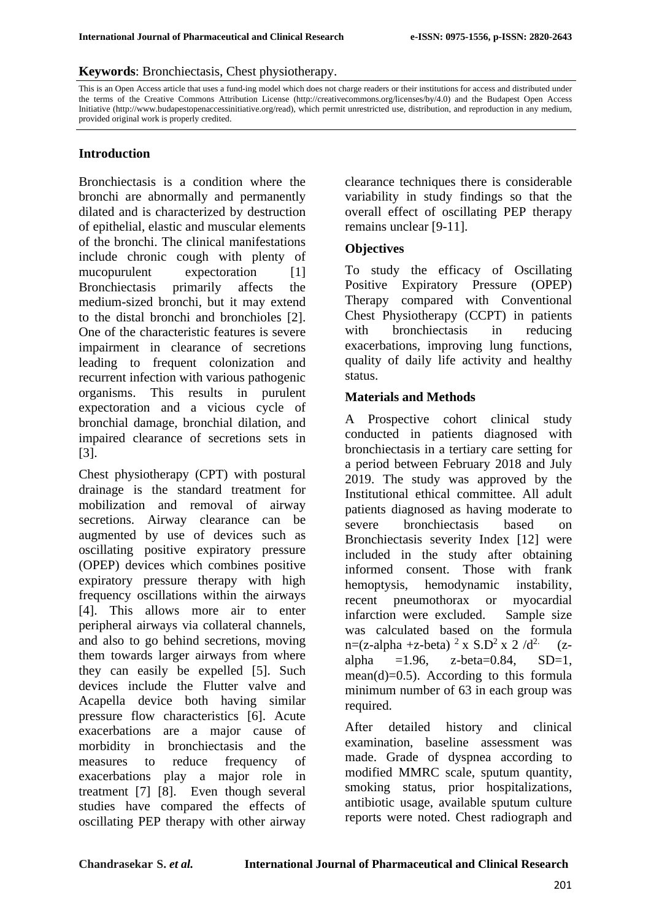#### **Keywords**: Bronchiectasis, Chest physiotherapy.

This is an Open Access article that uses a fund-ing model which does not charge readers or their institutions for access and distributed under the terms of the Creative Commons Attribution License (http://creativecommons.org/licenses/by/4.0) and the Budapest Open Access Initiative (http://www.budapestopenaccessinitiative.org/read), which permit unrestricted use, distribution, and reproduction in any medium, provided original work is properly credited.

#### **Introduction**

Bronchiectasis is a condition where the bronchi are abnormally and permanently dilated and is characterized by destruction of epithelial, elastic and muscular elements of the bronchi. The clinical manifestations include chronic cough with plenty of mucopurulent expectoration [1] Bronchiectasis primarily affects the medium-sized bronchi, but it may extend to the distal bronchi and bronchioles [2]. One of the characteristic features is severe impairment in clearance of secretions leading to frequent colonization and recurrent infection with various pathogenic organisms. This results in purulent expectoration and a vicious cycle of bronchial damage, bronchial dilation, and impaired clearance of secretions sets in [3].

Chest physiotherapy (CPT) with postural drainage is the standard treatment for mobilization and removal of airway secretions. Airway clearance can be augmented by use of devices such as oscillating positive expiratory pressure (OPEP) devices which combines positive expiratory pressure therapy with high frequency oscillations within the airways [4]. This allows more air to enter peripheral airways via collateral channels, and also to go behind secretions, moving them towards larger airways from where they can easily be expelled [5]. Such devices include the Flutter valve and Acapella device both having similar pressure flow characteristics [6]. Acute exacerbations are a major cause of morbidity in bronchiectasis and the measures to reduce frequency of exacerbations play a major role in treatment [7] [8]. Even though several studies have compared the effects of oscillating PEP therapy with other airway

clearance techniques there is considerable variability in study findings so that the overall effect of oscillating PEP therapy remains unclear [9-11].

#### **Objectives**

To study the efficacy of Oscillating Positive Expiratory Pressure (OPEP) Therapy compared with Conventional Chest Physiotherapy (CCPT) in patients with bronchiectasis in reducing exacerbations, improving lung functions, quality of daily life activity and healthy status.

#### **Materials and Methods**

A Prospective cohort clinical study conducted in patients diagnosed with bronchiectasis in a tertiary care setting for a period between February 2018 and July 2019. The study was approved by the Institutional ethical committee. All adult patients diagnosed as having moderate to severe bronchiectasis based on Bronchiectasis severity Index [12] were included in the study after obtaining informed consent. Those with frank hemoptysis, hemodynamic instability, recent pneumothorax or myocardial infarction were excluded. Sample size was calculated based on the formula n=(z-alpha +z-beta)  $^{2}$  x S.D<sup>2</sup> x 2 /d<sup>2.</sup> (zalpha  $=1.96$ , z-beta=0.84, SD=1, mean(d)=0.5). According to this formula minimum number of 63 in each group was required.

After detailed history and clinical examination, baseline assessment was made. Grade of dyspnea according to modified MMRC scale, sputum quantity, smoking status, prior hospitalizations, antibiotic usage, available sputum culture reports were noted. Chest radiograph and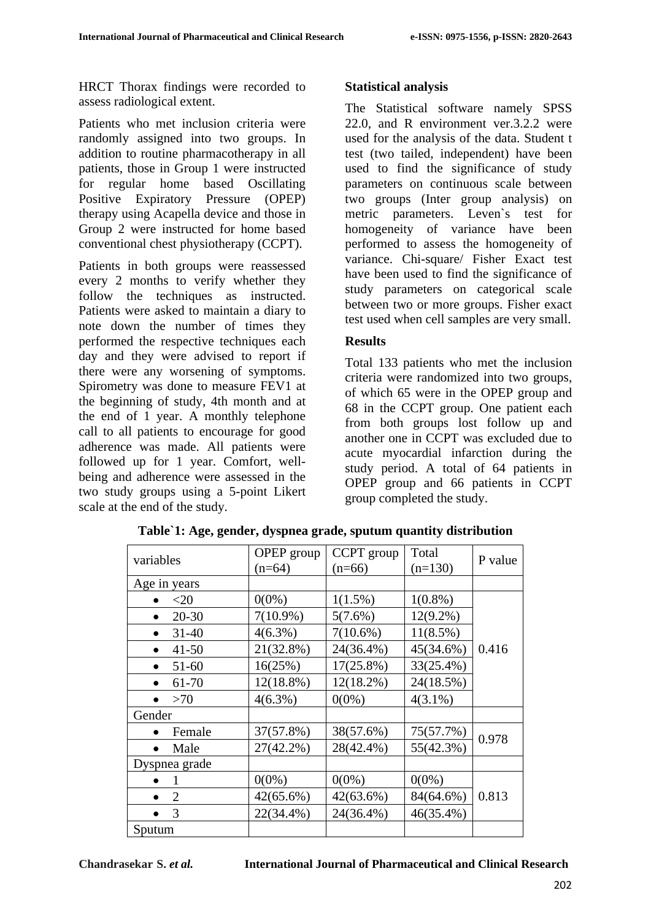HRCT Thorax findings were recorded to assess radiological extent.

Patients who met inclusion criteria were randomly assigned into two groups. In addition to routine pharmacotherapy in all patients, those in Group 1 were instructed for regular home based Oscillating Positive Expiratory Pressure (OPEP) therapy using Acapella device and those in Group 2 were instructed for home based conventional chest physiotherapy (CCPT).

Patients in both groups were reassessed every 2 months to verify whether they follow the techniques as instructed. Patients were asked to maintain a diary to note down the number of times they performed the respective techniques each day and they were advised to report if there were any worsening of symptoms. Spirometry was done to measure FEV1 at the beginning of study, 4th month and at the end of 1 year. A monthly telephone call to all patients to encourage for good adherence was made. All patients were followed up for 1 year. Comfort, wellbeing and adherence were assessed in the two study groups using a 5-point Likert scale at the end of the study.

#### **Statistical analysis**

The Statistical software namely SPSS 22.0, and R environment ver.3.2.2 were used for the analysis of the data. Student t test (two tailed, independent) have been used to find the significance of study parameters on continuous scale between two groups (Inter group analysis) on metric parameters. Leven`s test for homogeneity of variance have been performed to assess the homogeneity of variance. Chi-square/ Fisher Exact test have been used to find the significance of study parameters on categorical scale between two or more groups. Fisher exact test used when cell samples are very small.

#### **Results**

Total 133 patients who met the inclusion criteria were randomized into two groups, of which 65 were in the OPEP group and 68 in the CCPT group. One patient each from both groups lost follow up and another one in CCPT was excluded due to acute myocardial infarction during the study period. A total of 64 patients in OPEP group and 66 patients in CCPT group completed the study.

| variables                   | OPEP group   | CCPT group   | Total       | P value |
|-----------------------------|--------------|--------------|-------------|---------|
|                             | $(n=64)$     | $(n=66)$     | $(n=130)$   |         |
| Age in years                |              |              |             |         |
| $<$ 20                      | $0(0\%)$     | $1(1.5\%)$   | $1(0.8\%)$  |         |
| $20 - 30$                   | $7(10.9\%)$  | 5(7.6%)      | $12(9.2\%)$ |         |
| $31 - 40$                   | $4(6.3\%)$   | $7(10.6\%)$  | $11(8.5\%)$ |         |
| $41 - 50$                   | 21(32.8%)    | 24(36.4%)    | 45(34.6%)   | 0.416   |
| $51-60$<br>$\bullet$        | 16(25%)      | $17(25.8\%)$ | 33(25.4%)   |         |
| 61-70                       | $12(18.8\%)$ | $12(18.2\%)$ | 24(18.5%)   |         |
| >70                         | $4(6.3\%)$   | $0(0\%)$     | $4(3.1\%)$  |         |
| Gender                      |              |              |             |         |
| Female                      | 37(57.8%)    | 38(57.6%)    | 75(57.7%)   | 0.978   |
| Male                        | $27(42.2\%)$ | 28(42.4%)    | 55(42.3%)   |         |
| Dyspnea grade               |              |              |             |         |
|                             | $0(0\%)$     | $0(0\%)$     | $0(0\%)$    |         |
| $\mathcal{D}_{\mathcal{L}}$ | $42(65.6\%)$ | $42(63.6\%)$ | 84(64.6%)   | 0.813   |
| 3                           | 22(34.4%)    | 24(36.4%)    | 46(35.4%)   |         |
| Sputum                      |              |              |             |         |

**Table`1: Age, gender, dyspnea grade, sputum quantity distribution**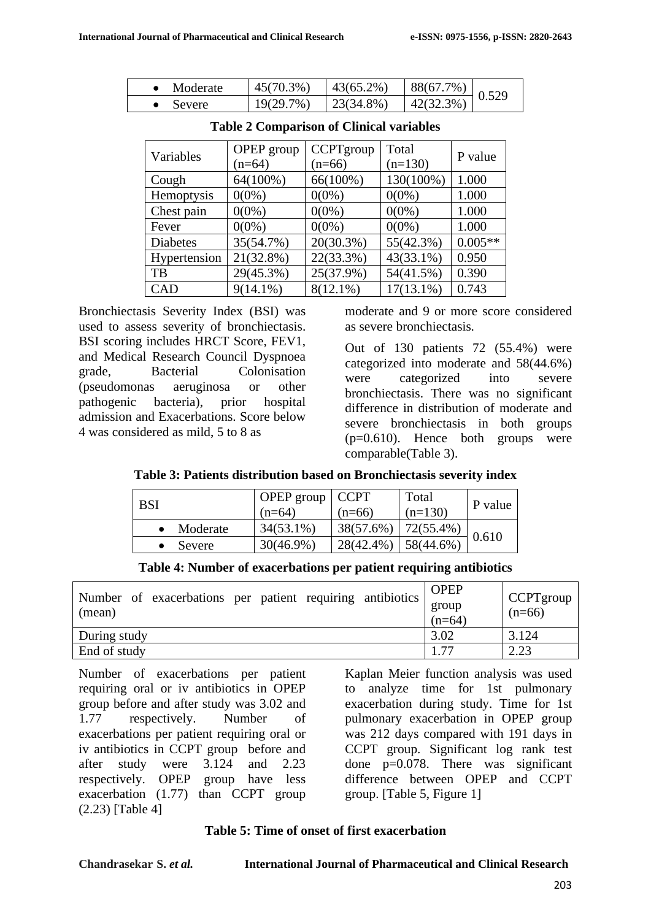| Moderate | $45(70.3\%)$ | $43(65.2\%)$  | 88(67.7%) | 0.529 |
|----------|--------------|---------------|-----------|-------|
| Severe   | 19(29.7%)    | $-23(34.8\%)$ | 42(32.3%) |       |

| Variables       | OPEP group  | CCPTgroup    | Total        | P value   |
|-----------------|-------------|--------------|--------------|-----------|
|                 | $(n=64)$    | $(n=66)$     | $(n=130)$    |           |
| Cough           | 64(100%)    | 66(100%)     | 130(100%)    | 1.000     |
| Hemoptysis      | $0(0\%)$    | $0(0\%)$     | $0(0\%)$     | 1.000     |
| Chest pain      | $0(0\%)$    | $0(0\%)$     | $0(0\%)$     | 1.000     |
| Fever           | $0(0\%)$    | $0(0\%)$     | $0(0\%)$     | 1.000     |
| <b>Diabetes</b> | 35(54.7%)   | $20(30.3\%)$ | 55(42.3%)    | $0.005**$ |
| Hypertension    | 21(32.8%)   | 22(33.3%)    | 43(33.1%)    | 0.950     |
| TB              | 29(45.3%)   | 25(37.9%)    | 54(41.5%)    | 0.390     |
| <b>CAD</b>      | $9(14.1\%)$ | $8(12.1\%)$  | $17(13.1\%)$ | 0.743     |

**Table 2 Comparison of Clinical variables**

Bronchiectasis Severity Index (BSI) was used to assess severity of bronchiectasis. BSI scoring includes HRCT Score, FEV1, and Medical Research Council Dyspnoea grade, Bacterial Colonisation (pseudomonas aeruginosa or other pathogenic bacteria), prior hospital admission and Exacerbations. Score below 4 was considered as mild, 5 to 8 as

moderate and 9 or more score considered as severe bronchiectasis.

Out of 130 patients 72 (55.4%) were categorized into moderate and 58(44.6%) were categorized into severe bronchiectasis. There was no significant difference in distribution of moderate and severe bronchiectasis in both groups  $(p=0.610)$ . Hence both groups were comparable(Table 3).

|  | Table 3: Patients distribution based on Bronchiectasis severity index |  |  |  |
|--|-----------------------------------------------------------------------|--|--|--|
|--|-----------------------------------------------------------------------|--|--|--|

| <b>BSI</b> |          | OPEP group<br>$(n=64)$ | $\vert$ CCPT<br>$(n=66)$ | Total<br>$(n=130)$ | P value |
|------------|----------|------------------------|--------------------------|--------------------|---------|
|            | Moderate | $34(53.1\%)$           | 38(57.6%)                | 72(55.4%)          | 0.610   |
|            | Severe   | $30(46.9\%)$           | 28(42.4%)                | 58(44.6%)          |         |

| Number of exacerbations per patient requiring antibiotics<br>(mean) | <b>OPEP</b><br>group<br>$(n=64)$ | $\mathsf{C}$ CPTgroup<br>$(n=66)$ |
|---------------------------------------------------------------------|----------------------------------|-----------------------------------|
| During study                                                        | 3.02                             | 3.124                             |
| End of study                                                        | -77                              | 2.23                              |

Number of exacerbations per patient requiring oral or iv antibiotics in OPEP group before and after study was 3.02 and 1.77 respectively. Number of exacerbations per patient requiring oral or iv antibiotics in CCPT group before and after study were 3.124 and 2.23 respectively. OPEP group have less exacerbation (1.77) than CCPT group (2.23) [Table 4]

Kaplan Meier function analysis was used to analyze time for 1st pulmonary exacerbation during study. Time for 1st pulmonary exacerbation in OPEP group was 212 days compared with 191 days in CCPT group. Significant log rank test done p=0.078. There was significant difference between OPEP and CCPT group. [Table 5, Figure 1]

#### **Table 5: Time of onset of first exacerbation**

**Chandrasekar S.** *et al.* **International Journal of Pharmaceutical and Clinical Research**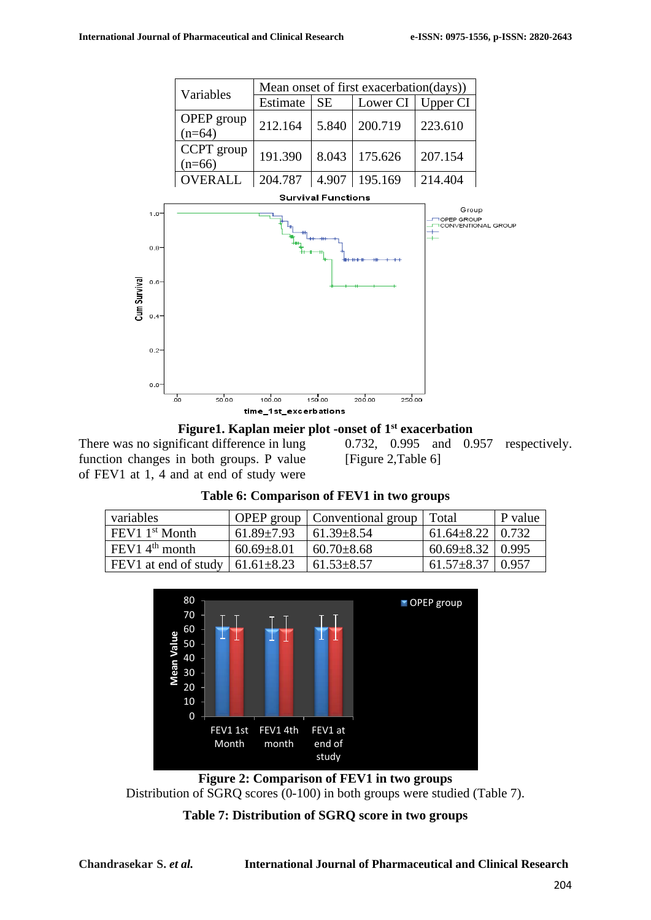



There was no significant difference in lung function changes in both groups. P value of FEV1 at 1, 4 and at end of study were

0.732, 0.995 and 0.957 respectively. [Figure 2,Table 6]

| Table 6: Comparison of FEV1 in two groups |  |                                                |  |  |
|-------------------------------------------|--|------------------------------------------------|--|--|
|                                           |  | <b>OPEP</b> group   Conventional group   Total |  |  |

| variables                                     |                  | OPEP group   Conventional group   Total |                          | P value |
|-----------------------------------------------|------------------|-----------------------------------------|--------------------------|---------|
| $FEV11st$ Month                               | $61.89 \pm 7.93$ | $161.39 \pm 8.54$                       | $61.64 \pm 8.22$   0.732 |         |
| $FEV14th$ month                               | $60.69 \pm 8.01$ | $160.70 \pm 8.68$                       | $60.69 \pm 8.32$ 0.995   |         |
| FEV1 at end of study $\vert$ 61.61 $\pm$ 8.23 |                  | $ 61.53 \pm 8.57$                       | $61.57 \pm 8.37$ 0.957   |         |



**Figure 2: Comparison of FEV1 in two groups** Distribution of SGRQ scores (0-100) in both groups were studied (Table 7).

## **Table 7: Distribution of SGRQ score in two groups**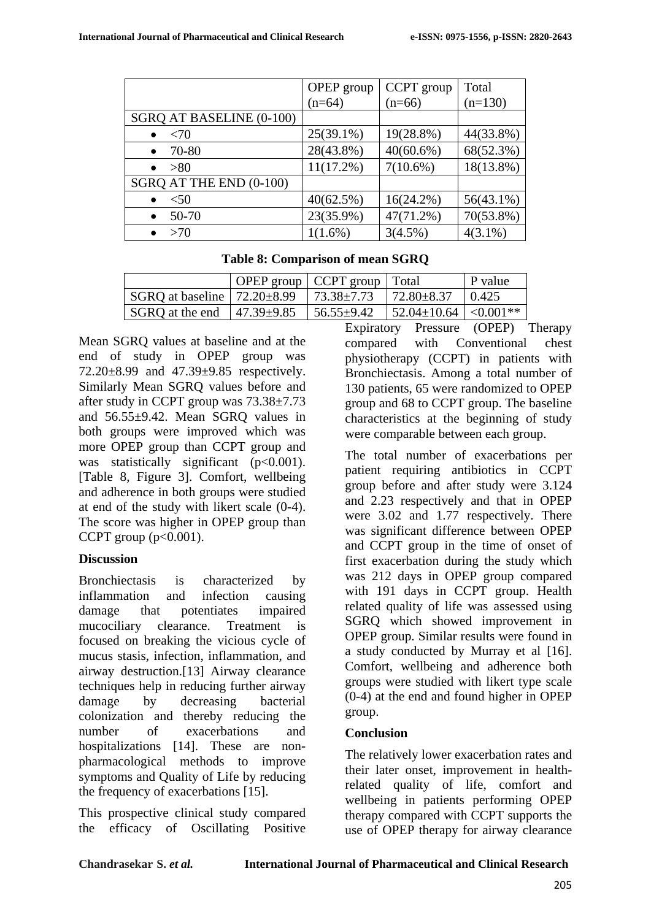|                          | OPEP group   | CCPT group   | Total        |
|--------------------------|--------------|--------------|--------------|
|                          | $(n=64)$     | $(n=66)$     | $(n=130)$    |
| SGRQ AT BASELINE (0-100) |              |              |              |
| <70<br>$\bullet$         | $25(39.1\%)$ | 19(28.8%)    | 44(33.8%)    |
| 70-80<br>$\bullet$       | 28(43.8%)    | $40(60.6\%)$ | 68(52.3%)    |
| >80<br>$\bullet$         | $11(17.2\%)$ | $7(10.6\%)$  | 18(13.8%)    |
| SGRQ AT THE END (0-100)  |              |              |              |
| $<$ 50<br>$\bullet$      | 40(62.5%)    | $16(24.2\%)$ | $56(43.1\%)$ |
| 50-70<br>$\bullet$       | 23(35.9%)    | 47(71.2%)    | 70(53.8%)    |
| >70                      | $1(1.6\%)$   | 3(4.5%)      | $4(3.1\%)$   |

**Table 8: Comparison of mean SGRQ**

|                                           | OPEP group   CCPT group   Total |                               | P value |
|-------------------------------------------|---------------------------------|-------------------------------|---------|
| SGRQ at baseline $\vert$ 72.20 $\pm$ 8.99 | $173.38 \pm 7.73$               | $172.80 \pm 8.37$             | 10.425  |
| SGRQ at the end $\vert$ 47.39 $\pm$ 9.85  | $56.55 \pm 9.42$                | $ 52.04 \pm 10.64  < 0.001**$ |         |

Mean SGRQ values at baseline and at the end of study in OPEP group was 72.20±8.99 and 47.39±9.85 respectively. Similarly Mean SGRQ values before and after study in CCPT group was 73.38±7.73 and  $56.55\pm9.42$ . Mean SGRO values in both groups were improved which was more OPEP group than CCPT group and was statistically significant (p<0.001). [Table 8, Figure 3]. Comfort, wellbeing and adherence in both groups were studied at end of the study with likert scale (0-4). The score was higher in OPEP group than CCPT group  $(p<0.001)$ .

## **Discussion**

Bronchiectasis is characterized by inflammation and infection causing damage that potentiates impaired mucociliary clearance. Treatment is focused on breaking the vicious cycle of mucus stasis, infection, inflammation, and airway destruction.[13] Airway clearance techniques help in reducing further airway damage by decreasing bacterial colonization and thereby reducing the number of exacerbations and hospitalizations [14]. These are nonpharmacological methods to improve symptoms and Quality of Life by reducing the frequency of exacerbations [15].

This prospective clinical study compared the efficacy of Oscillating Positive

Expiratory Pressure (OPEP) Therapy compared with Conventional chest physiotherapy (CCPT) in patients with Bronchiectasis. Among a total number of 130 patients, 65 were randomized to OPEP group and 68 to CCPT group. The baseline characteristics at the beginning of study were comparable between each group.

The total number of exacerbations per patient requiring antibiotics in CCPT group before and after study were 3.124 and 2.23 respectively and that in OPEP were 3.02 and 1.77 respectively. There was significant difference between OPEP and CCPT group in the time of onset of first exacerbation during the study which was 212 days in OPEP group compared with 191 days in CCPT group. Health related quality of life was assessed using SGRQ which showed improvement in OPEP group. Similar results were found in a study conducted by Murray et al [16]. Comfort, wellbeing and adherence both groups were studied with likert type scale (0-4) at the end and found higher in OPEP group.

## **Conclusion**

The relatively lower exacerbation rates and their later onset, improvement in healthrelated quality of life, comfort and wellbeing in patients performing OPEP therapy compared with CCPT supports the use of OPEP therapy for airway clearance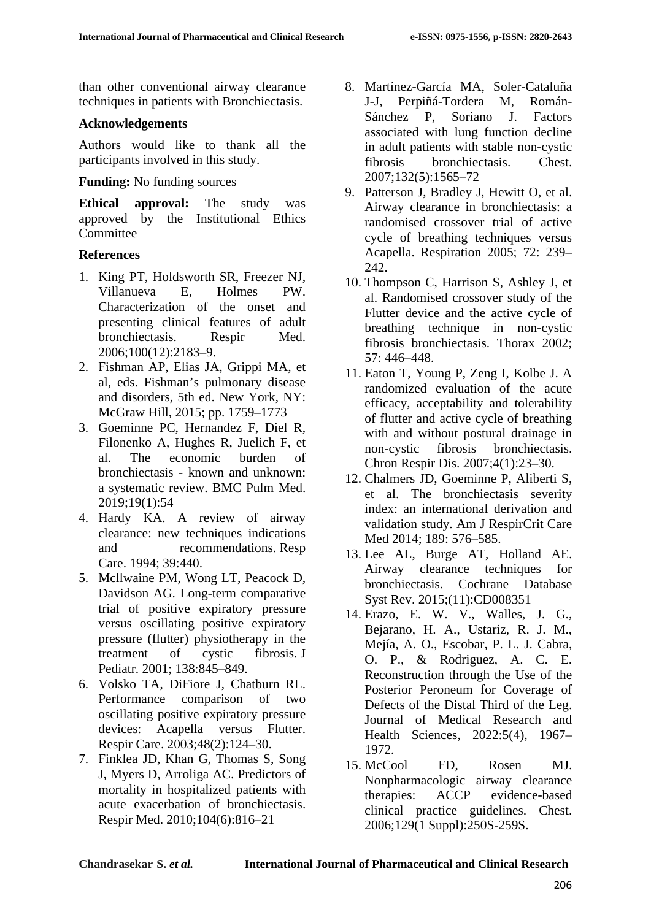than other conventional airway clearance techniques in patients with Bronchiectasis.

#### **Acknowledgements**

Authors would like to thank all the participants involved in this study.

#### **Funding:** No funding sources

**Ethical approval:** The study was approved by the Institutional Ethics Committee

## **References**

- 1. King PT, Holdsworth SR, Freezer NJ, Villanueva E, Holmes PW. Characterization of the onset and presenting clinical features of adult bronchiectasis. Respir Med. 2006;100(12):2183–9.
- 2. Fishman AP, Elias JA, Grippi MA, et al, eds. Fishman's pulmonary disease and disorders, 5th ed. New York, NY: McGraw Hill, 2015; pp. 1759–1773
- 3. Goeminne PC, Hernandez F, Diel R, Filonenko A, Hughes R, Juelich F, et al. The economic burden of bronchiectasis - known and unknown: a systematic review. BMC Pulm Med. 2019;19(1):54
- 4. Hardy KA. A review of airway clearance: new techniques indications and recommendations. Resp Care. 1994; 39:440.
- 5. Mcllwaine PM, Wong LT, Peacock D, Davidson AG. Long-term comparative trial of positive expiratory pressure versus oscillating positive expiratory pressure (flutter) physiotherapy in the treatment of cystic fibrosis. J Pediatr. 2001; 138:845–849.
- 6. Volsko TA, DiFiore J, Chatburn RL. Performance comparison of two oscillating positive expiratory pressure devices: Acapella versus Flutter. Respir Care. 2003;48(2):124–30.
- 7. Finklea JD, Khan G, Thomas S, Song J, Myers D, Arroliga AC. Predictors of mortality in hospitalized patients with acute exacerbation of bronchiectasis. Respir Med. 2010;104(6):816–21
- 8. Martínez-García MA, Soler-Cataluña J-J, Perpiñá-Tordera M, Román-Sánchez P, Soriano J. Factors associated with lung function decline in adult patients with stable non-cystic fibrosis bronchiectasis. Chest. 2007;132(5):1565–72
- 9. Patterson J, Bradley J, Hewitt O, et al. Airway clearance in bronchiectasis: a randomised crossover trial of active cycle of breathing techniques versus Acapella. Respiration 2005; 72: 239– 242.
- 10. Thompson C, Harrison S, Ashley J, et al. Randomised crossover study of the Flutter device and the active cycle of breathing technique in non-cystic fibrosis bronchiectasis. Thorax 2002; 57: 446–448.
- 11. Eaton T, Young P, Zeng I, Kolbe J. A randomized evaluation of the acute efficacy, acceptability and tolerability of flutter and active cycle of breathing with and without postural drainage in non-cystic fibrosis bronchiectasis. Chron Respir Dis. 2007;4(1):23–30.
- 12. Chalmers JD, Goeminne P, Aliberti S, et al. The bronchiectasis severity index: an international derivation and validation study. Am J RespirCrit Care Med 2014; 189: 576–585.
- 13. Lee AL, Burge AT, Holland AE. Airway clearance techniques for bronchiectasis. Cochrane Database Syst Rev. 2015;(11):CD008351
- 14. Erazo, E. W. V., Walles, J. G., Bejarano, H. A., Ustariz, R. J. M., Mejía, A. O., Escobar, P. L. J. Cabra, O. P., & Rodriguez, A. C. E. Reconstruction through the Use of the Posterior Peroneum for Coverage of Defects of the Distal Third of the Leg. Journal of Medical Research and Health Sciences, 2022:5(4), 1967– 1972.
- 15. McCool FD, Rosen MJ. Nonpharmacologic airway clearance therapies: ACCP evidence-based clinical practice guidelines. Chest. 2006;129(1 Suppl):250S-259S.